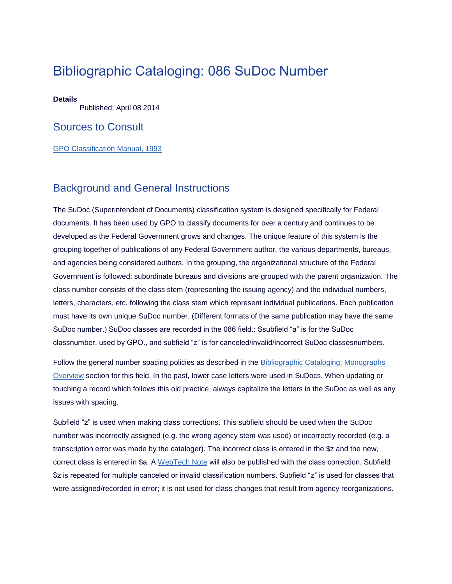# Bibliographic Cataloging: 086 SuDoc Number

#### **Details**

Published: April 08 2014

#### Sources to Consult

[GPO Classification Manual, 1993](http://www.fdlp.gov/file-repository/gpo-cataloging/1172-gpo-classification-manual/file)

#### Background and General Instructions

The SuDoc (Superintendent of Documents) classification system is designed specifically for Federal documents. It has been used by GPO to classify documents for over a century and continues to be developed as the Federal Government grows and changes. The unique feature of this system is the grouping together of publications of any Federal Government author, the various departments, bureaus, and agencies being considered authors. In the grouping, the organizational structure of the Federal Government is followed: subordinate bureaus and divisions are grouped with the parent organization. The class number consists of the class stem (representing the issuing agency) and the individual numbers, letters, characters, etc. following the class stem which represent individual publications. Each publication must have its own unique SuDoc number. (Different formats of the same publication may have the same SuDoc number.) SuDoc classes are recorded in the 086 field.: Ssubfield "a" is for the SuDoc classnumber, used by GPO., and subfield "z" is for canceled/invalid/incorrect SuDoc classesnumbers.

Follow the general number spacing policies as described in the Bibliographic Cataloging: Monographs [Overview](http://www.fdlp.gov/catalogingandclassification/link-item/1930-bibliographic-cataloging-monographs-overview) section for this field. In the past, lower case letters were used in SuDocs. When updating or touching a record which follows this old practice, always capitalize the letters in the SuDoc as well as any issues with spacing.

Subfield "z" is used when making class corrections. This subfield should be used when the SuDoc number was incorrectly assigned (e.g. the wrong agency stem was used) or incorrectly recorded (e.g. a transcription error was made by the cataloger). The incorrect class is entered in the \$z and the new, correct class is entered in \$a. A [WebTech Note](http://www.fdlp.gov/webtech-notes) will also be published with the class correction. Subfield \$z is repeated for multiple canceled or invalid classification numbers. Subfield "z" is used for classes that were assigned/recorded in error; it is not used for class changes that result from agency reorganizations.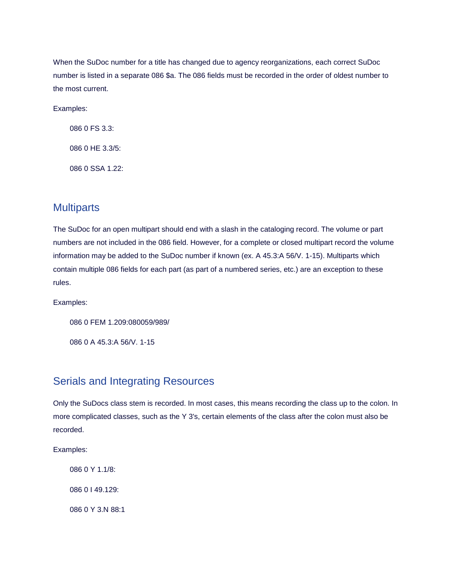When the SuDoc number for a title has changed due to agency reorganizations, each correct SuDoc number is listed in a separate 086 \$a. The 086 fields must be recorded in the order of oldest number to the most current.

Examples:

086 0 FS 3.3: 086 0 HE 3.3/5: 086 0 SSA 1.22:

## **Multiparts**

The SuDoc for an open multipart should end with a slash in the cataloging record. The volume or part numbers are not included in the 086 field. However, for a complete or closed multipart record the volume information may be added to the SuDoc number if known (ex. A 45.3:A 56/V. 1-15). Multiparts which contain multiple 086 fields for each part (as part of a numbered series, etc.) are an exception to these rules.

Examples:

086 0 FEM 1.209:080059/989/

086 0 A 45.3:A 56/V. 1-15

### Serials and Integrating Resources

Only the SuDocs class stem is recorded. In most cases, this means recording the class up to the colon. In more complicated classes, such as the Y 3's, certain elements of the class after the colon must also be recorded.

Examples:

086 0 Y 1.1/8: 086 0 I 49.129: 086 0 Y 3.N 88:1